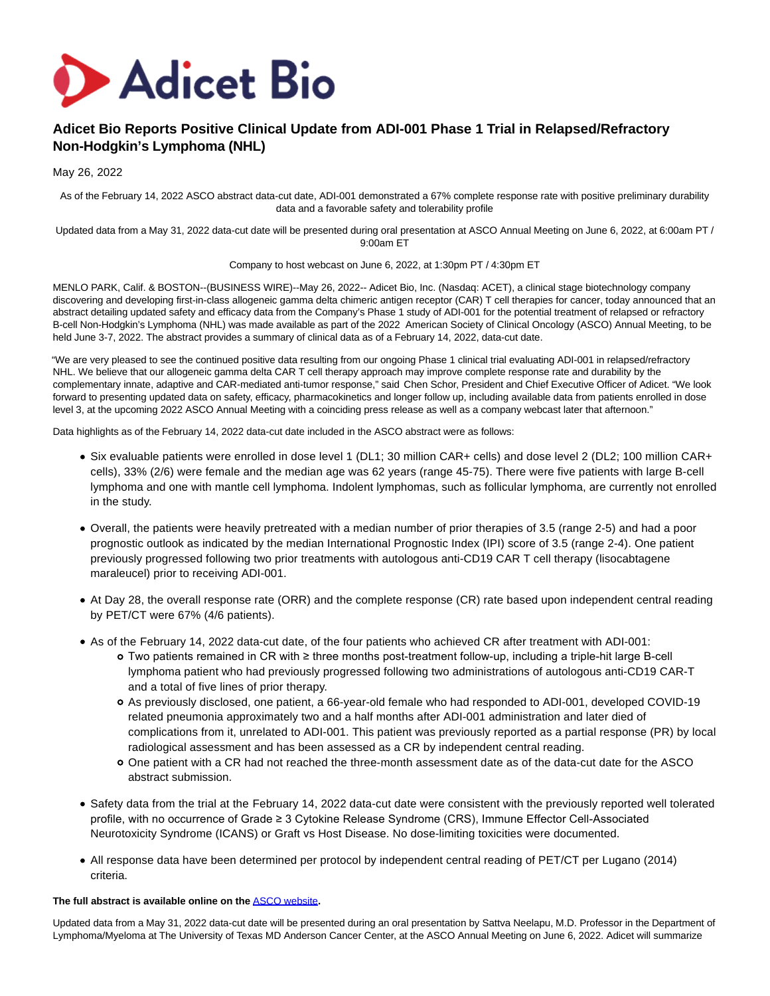

# **Adicet Bio Reports Positive Clinical Update from ADI-001 Phase 1 Trial in Relapsed/Refractory Non-Hodgkin's Lymphoma (NHL)**

May 26, 2022

As of the February 14, 2022 ASCO abstract data-cut date, ADI-001 demonstrated a 67% complete response rate with positive preliminary durability data and a favorable safety and tolerability profile

Updated data from a May 31, 2022 data-cut date will be presented during oral presentation at ASCO Annual Meeting on June 6, 2022, at 6:00am PT / 9:00am ET

## Company to host webcast on June 6, 2022, at 1:30pm PT / 4:30pm ET

MENLO PARK, Calif. & BOSTON--(BUSINESS WIRE)--May 26, 2022-- Adicet Bio, Inc. (Nasdaq: ACET), a clinical stage biotechnology company discovering and developing first-in-class allogeneic gamma delta chimeric antigen receptor (CAR) T cell therapies for cancer, today announced that an abstract detailing updated safety and efficacy data from the Company's Phase 1 study of ADI-001 for the potential treatment of relapsed or refractory B-cell Non-Hodgkin's Lymphoma (NHL) was made available as part of the 2022 American Society of Clinical Oncology (ASCO) Annual Meeting, to be held June 3-7, 2022. The abstract provides a summary of clinical data as of a February 14, 2022, data-cut date.

"We are very pleased to see the continued positive data resulting from our ongoing Phase 1 clinical trial evaluating ADI-001 in relapsed/refractory NHL. We believe that our allogeneic gamma delta CAR T cell therapy approach may improve complete response rate and durability by the complementary innate, adaptive and CAR-mediated anti-tumor response," said Chen Schor, President and Chief Executive Officer of Adicet. "We look forward to presenting updated data on safety, efficacy, pharmacokinetics and longer follow up, including available data from patients enrolled in dose level 3, at the upcoming 2022 ASCO Annual Meeting with a coinciding press release as well as a company webcast later that afternoon."

Data highlights as of the February 14, 2022 data-cut date included in the ASCO abstract were as follows:

- Six evaluable patients were enrolled in dose level 1 (DL1; 30 million CAR+ cells) and dose level 2 (DL2; 100 million CAR+ cells), 33% (2/6) were female and the median age was 62 years (range 45-75). There were five patients with large B-cell lymphoma and one with mantle cell lymphoma. Indolent lymphomas, such as follicular lymphoma, are currently not enrolled in the study.
- Overall, the patients were heavily pretreated with a median number of prior therapies of 3.5 (range 2-5) and had a poor prognostic outlook as indicated by the median International Prognostic Index (IPI) score of 3.5 (range 2-4). One patient previously progressed following two prior treatments with autologous anti-CD19 CAR T cell therapy (lisocabtagene maraleucel) prior to receiving ADI-001.
- At Day 28, the overall response rate (ORR) and the complete response (CR) rate based upon independent central reading by PET/CT were 67% (4/6 patients).
- As of the February 14, 2022 data-cut date, of the four patients who achieved CR after treatment with ADI-001:
	- Two patients remained in CR with ≥ three months post-treatment follow-up, including a triple-hit large B-cell lymphoma patient who had previously progressed following two administrations of autologous anti-CD19 CAR-T and a total of five lines of prior therapy.
	- As previously disclosed, one patient, a 66-year-old female who had responded to ADI-001, developed COVID-19 related pneumonia approximately two and a half months after ADI-001 administration and later died of complications from it, unrelated to ADI-001. This patient was previously reported as a partial response (PR) by local radiological assessment and has been assessed as a CR by independent central reading.
	- One patient with a CR had not reached the three-month assessment date as of the data-cut date for the ASCO abstract submission.
- Safety data from the trial at the February 14, 2022 data-cut date were consistent with the previously reported well tolerated profile, with no occurrence of Grade ≥ 3 Cytokine Release Syndrome (CRS), Immune Effector Cell-Associated Neurotoxicity Syndrome (ICANS) or Graft vs Host Disease. No dose-limiting toxicities were documented.
- All response data have been determined per protocol by independent central reading of PET/CT per Lugano (2014) criteria.

# **The full abstract is available online on the** [ASCO website](https://cts.businesswire.com/ct/CT?id=smartlink&url=https%3A%2F%2Fconferences.asco.org%2Fam%2Fabstracts&esheet=52732152&newsitemid=20220526005630&lan=en-US&anchor=ASCO+website&index=1&md5=6e719f5b98260f9441552599af6377a4)**.**

Updated data from a May 31, 2022 data-cut date will be presented during an oral presentation by Sattva Neelapu, M.D. Professor in the Department of Lymphoma/Myeloma at The University of Texas MD Anderson Cancer Center, at the ASCO Annual Meeting on June 6, 2022. Adicet will summarize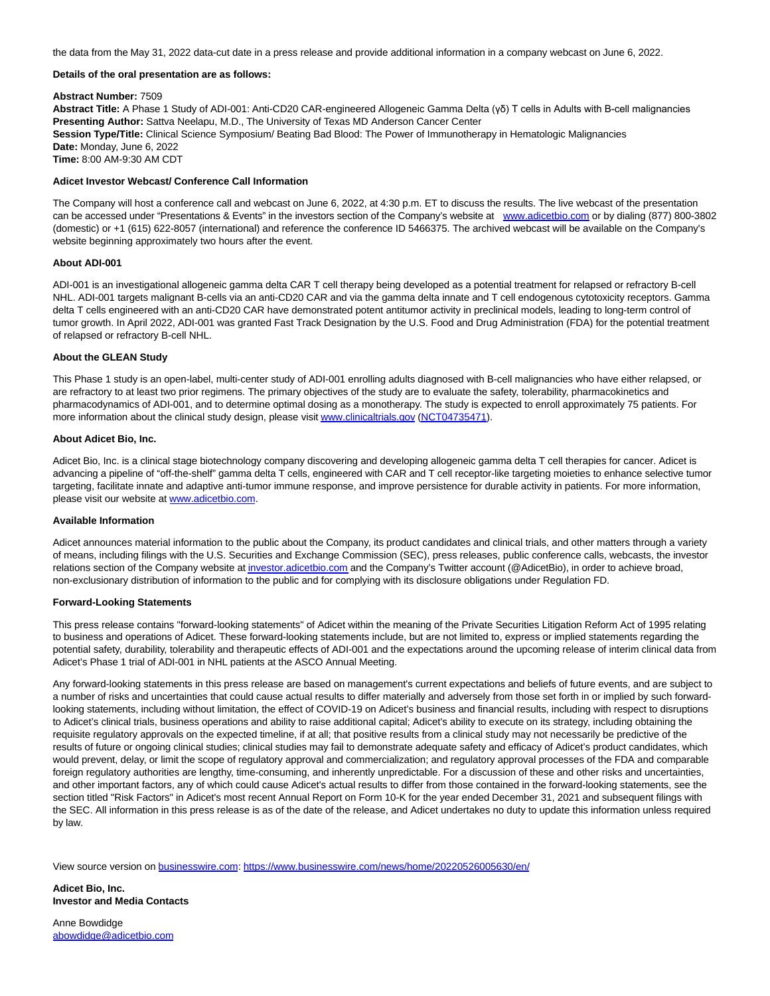the data from the May 31, 2022 data-cut date in a press release and provide additional information in a company webcast on June 6, 2022.

# **Details of the oral presentation are as follows:**

#### **Abstract Number:** 7509

**Abstract Title:** A Phase 1 Study of ADI-001: Anti-CD20 CAR-engineered Allogeneic Gamma Delta (γδ) T cells in Adults with B-cell malignancies **Presenting Author:** Sattva Neelapu, M.D., The University of Texas MD Anderson Cancer Center **Session Type/Title:** Clinical Science Symposium/ Beating Bad Blood: The Power of Immunotherapy in Hematologic Malignancies **Date:** Monday, June 6, 2022 **Time:** 8:00 AM-9:30 AM CDT

#### **Adicet Investor Webcast/ Conference Call Information**

The Company will host a conference call and webcast on June 6, 2022, at 4:30 p.m. ET to discuss the results. The live webcast of the presentation can be accessed under "Presentations & Events" in the investors section of the Company's website at [www.adicetbio.com o](https://cts.businesswire.com/ct/CT?id=smartlink&url=http%3A%2F%2Fwww.adicetbio.com&esheet=52732152&newsitemid=20220526005630&lan=en-US&anchor=www.adicetbio.com&index=2&md5=0cff40ff4d482f22c435d6b435a40ff6)r by dialing (877) 800-3802 (domestic) or +1 (615) 622-8057 (international) and reference the conference ID 5466375. The archived webcast will be available on the Company's website beginning approximately two hours after the event.

### **About ADI-001**

ADI-001 is an investigational allogeneic gamma delta CAR T cell therapy being developed as a potential treatment for relapsed or refractory B-cell NHL. ADI-001 targets malignant B-cells via an anti-CD20 CAR and via the gamma delta innate and T cell endogenous cytotoxicity receptors. Gamma delta T cells engineered with an anti-CD20 CAR have demonstrated potent antitumor activity in preclinical models, leading to long-term control of tumor growth. In April 2022, ADI-001 was granted Fast Track Designation by the U.S. Food and Drug Administration (FDA) for the potential treatment of relapsed or refractory B-cell NHL.

## **About the GLEAN Study**

This Phase 1 study is an open-label, multi-center study of ADI-001 enrolling adults diagnosed with B-cell malignancies who have either relapsed, or are refractory to at least two prior regimens. The primary objectives of the study are to evaluate the safety, tolerability, pharmacokinetics and pharmacodynamics of ADI-001, and to determine optimal dosing as a monotherapy. The study is expected to enroll approximately 75 patients. For more information about the clinical study design, please visi[t www.clinicaltrials.gov](https://cts.businesswire.com/ct/CT?id=smartlink&url=https%3A%2F%2Fwww.globenewswire.com%2FTracker%3Fdata%3D17fw6s8q8_uQRNZIOYTuiN0Yz2jsHpxgjBPm35Bk7kmvWsVhuD76EZhcLC5nfhegQaMzmlY9s5XNtFIK6nlzBGqlKc8ztZO8aOztzEVVkgk%3D&esheet=52732152&newsitemid=20220526005630&lan=en-US&anchor=www.clinicaltrials.gov&index=3&md5=d1e5917577e5f1ea5d692b5c2f05617c) [\(NCT04735471\).](https://cts.businesswire.com/ct/CT?id=smartlink&url=https%3A%2F%2Fwww.globenewswire.com%2FTracker%3Fdata%3DX_8HYTFeXvkx4TCK_1xeOqoupCjS3zhOITMgMxtgWfjjK8BO_-a_H6MxkqslGJP7pI7MNAIm_ZiqebdGYE7KwI9mZKzVMfazCkD82PaoJ5tTv3JrR0cEzx8toJND1I6B68lqaTz3_FMpOZGDIfac4g%3D%3D&esheet=52732152&newsitemid=20220526005630&lan=en-US&anchor=NCT04735471&index=4&md5=128f2420957b1dd5a8d23af344cb602d)

### **About Adicet Bio, Inc.**

Adicet Bio, Inc. is a clinical stage biotechnology company discovering and developing allogeneic gamma delta T cell therapies for cancer. Adicet is advancing a pipeline of "off-the-shelf" gamma delta T cells, engineered with CAR and T cell receptor-like targeting moieties to enhance selective tumor targeting, facilitate innate and adaptive anti-tumor immune response, and improve persistence for durable activity in patients. For more information, please visit our website at [www.adicetbio.com.](https://cts.businesswire.com/ct/CT?id=smartlink&url=http%3A%2F%2Fwww.adicetbio.com&esheet=52732152&newsitemid=20220526005630&lan=en-US&anchor=www.adicetbio.com&index=5&md5=ca3906e71a88f898e9eb148b87753b2b)

#### **Available Information**

Adicet announces material information to the public about the Company, its product candidates and clinical trials, and other matters through a variety of means, including filings with the U.S. Securities and Exchange Commission (SEC), press releases, public conference calls, webcasts, the investor relations section of the Company website a[t investor.adicetbio.com a](http://investor.adicetbio.com/)nd the Company's Twitter account (@AdicetBio), in order to achieve broad, non-exclusionary distribution of information to the public and for complying with its disclosure obligations under Regulation FD.

### **Forward-Looking Statements**

This press release contains "forward-looking statements" of Adicet within the meaning of the Private Securities Litigation Reform Act of 1995 relating to business and operations of Adicet. These forward-looking statements include, but are not limited to, express or implied statements regarding the potential safety, durability, tolerability and therapeutic effects of ADI-001 and the expectations around the upcoming release of interim clinical data from Adicet's Phase 1 trial of ADI-001 in NHL patients at the ASCO Annual Meeting.

Any forward-looking statements in this press release are based on management's current expectations and beliefs of future events, and are subject to a number of risks and uncertainties that could cause actual results to differ materially and adversely from those set forth in or implied by such forwardlooking statements, including without limitation, the effect of COVID-19 on Adicet's business and financial results, including with respect to disruptions to Adicet's clinical trials, business operations and ability to raise additional capital; Adicet's ability to execute on its strategy, including obtaining the requisite regulatory approvals on the expected timeline, if at all; that positive results from a clinical study may not necessarily be predictive of the results of future or ongoing clinical studies; clinical studies may fail to demonstrate adequate safety and efficacy of Adicet's product candidates, which would prevent, delay, or limit the scope of regulatory approval and commercialization; and regulatory approval processes of the FDA and comparable foreign regulatory authorities are lengthy, time-consuming, and inherently unpredictable. For a discussion of these and other risks and uncertainties, and other important factors, any of which could cause Adicet's actual results to differ from those contained in the forward-looking statements, see the section titled "Risk Factors" in Adicet's most recent Annual Report on Form 10-K for the year ended December 31, 2021 and subsequent filings with the SEC. All information in this press release is as of the date of the release, and Adicet undertakes no duty to update this information unless required by law.

View source version on [businesswire.com:](http://businesswire.com/)<https://www.businesswire.com/news/home/20220526005630/en/>

**Adicet Bio, Inc. Investor and Media Contacts**

Anne Bowdidge [abowdidge@adicetbio.com](mailto:abowdidge@adicetbio.com)